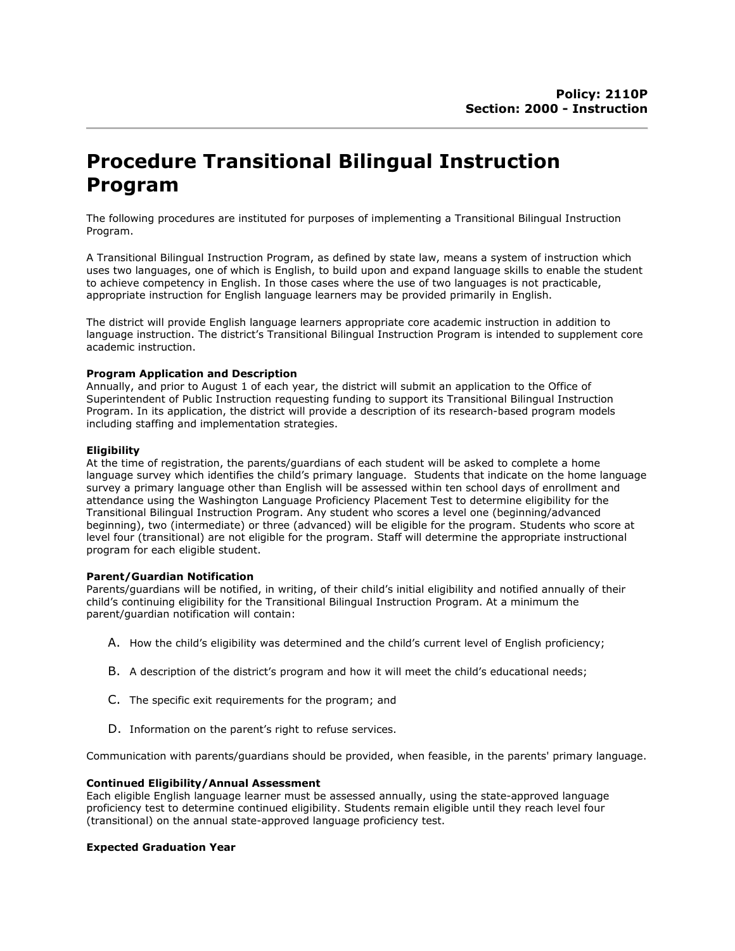# Procedure Transitional Bilingual Instruction Program

The following procedures are instituted for purposes of implementing a Transitional Bilingual Instruction Program.

A Transitional Bilingual Instruction Program, as defined by state law, means a system of instruction which uses two languages, one of which is English, to build upon and expand language skills to enable the student to achieve competency in English. In those cases where the use of two languages is not practicable, appropriate instruction for English language learners may be provided primarily in English.

The district will provide English language learners appropriate core academic instruction in addition to language instruction. The district's Transitional Bilingual Instruction Program is intended to supplement core academic instruction.

# Program Application and Description

Annually, and prior to August 1 of each year, the district will submit an application to the Office of Superintendent of Public Instruction requesting funding to support its Transitional Bilingual Instruction Program. In its application, the district will provide a description of its research-based program models including staffing and implementation strategies.

# Eligibility

At the time of registration, the parents/guardians of each student will be asked to complete a home language survey which identifies the child's primary language. Students that indicate on the home language survey a primary language other than English will be assessed within ten school days of enrollment and attendance using the Washington Language Proficiency Placement Test to determine eligibility for the Transitional Bilingual Instruction Program. Any student who scores a level one (beginning/advanced beginning), two (intermediate) or three (advanced) will be eligible for the program. Students who score at level four (transitional) are not eligible for the program. Staff will determine the appropriate instructional program for each eligible student.

## Parent/Guardian Notification

Parents/guardians will be notified, in writing, of their child's initial eligibility and notified annually of their child's continuing eligibility for the Transitional Bilingual Instruction Program. At a minimum the parent/guardian notification will contain:

- A. How the child's eligibility was determined and the child's current level of English proficiency;
- B. A description of the district's program and how it will meet the child's educational needs;
- C. The specific exit requirements for the program; and
- D. Information on the parent's right to refuse services.

Communication with parents/guardians should be provided, when feasible, in the parents' primary language.

# Continued Eligibility/Annual Assessment

Each eligible English language learner must be assessed annually, using the state-approved language proficiency test to determine continued eligibility. Students remain eligible until they reach level four (transitional) on the annual state-approved language proficiency test.

## Expected Graduation Year